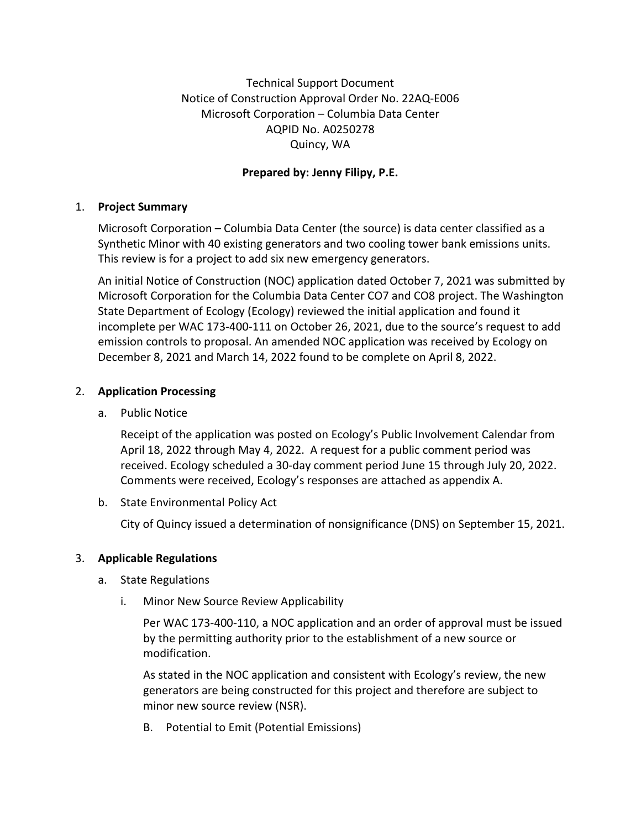Technical Support Document Notice of Construction Approval Order No. 22AQ-E006 Microsoft Corporation – Columbia Data Center AQPID No. A0250278 Quincy, WA

# **Prepared by: Jenny Filipy, P.E.**

### 1. **Project Summary**

Microsoft Corporation – Columbia Data Center (the source) is data center classified as a Synthetic Minor with 40 existing generators and two cooling tower bank emissions units. This review is for a project to add six new emergency generators.

An initial Notice of Construction (NOC) application dated October 7, 2021 was submitted by Microsoft Corporation for the Columbia Data Center CO7 and CO8 project. The Washington State Department of Ecology (Ecology) reviewed the initial application and found it incomplete per WAC 173-400-111 on October 26, 2021, due to the source's request to add emission controls to proposal. An amended NOC application was received by Ecology on December 8, 2021 and March 14, 2022 found to be complete on April 8, 2022.

## 2. **Application Processing**

a. Public Notice

Receipt of the application was posted on Ecology's Public Involvement Calendar from April 18, 2022 through May 4, 2022. A request for a public comment period was received. Ecology scheduled a 30-day comment period June 15 through July 20, 2022. Comments were received, Ecology's responses are attached as appendix A.

b. State Environmental Policy Act

City of Quincy issued a determination of nonsignificance (DNS) on September 15, 2021.

## 3. **Applicable Regulations**

- a. State Regulations
	- i. Minor New Source Review Applicability

Per WAC 173-400-110, a NOC application and an order of approval must be issued by the permitting authority prior to the establishment of a new source or modification.

As stated in the NOC application and consistent with Ecology's review, the new generators are being constructed for this project and therefore are subject to minor new source review (NSR).

B. Potential to Emit (Potential Emissions)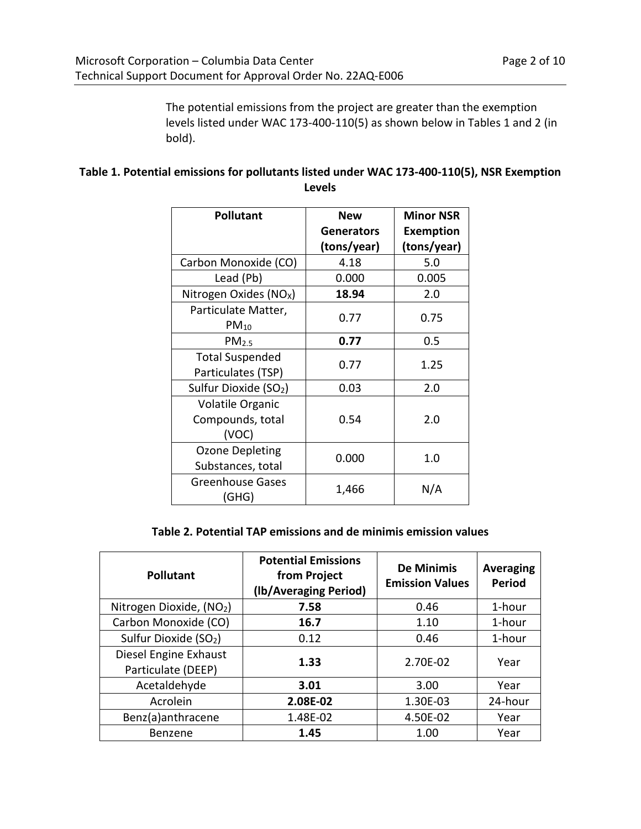The potential emissions from the project are greater than the exemption levels listed under WAC 173-400-110(5) as shown below in Tables 1 and 2 (in bold).

# **Table 1. Potential emissions for pollutants listed under WAC 173-400-110(5), NSR Exemption Levels**

| <b>Pollutant</b>                                     | New                              | <b>Minor NSR</b>                |
|------------------------------------------------------|----------------------------------|---------------------------------|
|                                                      | <b>Generators</b><br>(tons/year) | <b>Exemption</b><br>(tons/year) |
| Carbon Monoxide (CO)                                 | 4.18                             | 5.0                             |
| Lead (Pb)                                            | 0.000                            | 0.005                           |
| Nitrogen Oxides (NO <sub>x</sub> )                   | 18.94                            | 2.0                             |
| Particulate Matter,<br>$PM_{10}$                     | 0.77                             | 0.75                            |
| PM <sub>2.5</sub>                                    | 0.77                             | 0.5                             |
| <b>Total Suspended</b><br>Particulates (TSP)         | 0.77                             | 1.25                            |
| Sulfur Dioxide (SO <sub>2</sub> )                    | 0.03                             | 2.0                             |
| <b>Volatile Organic</b><br>Compounds, total<br>(VOC) | 0.54                             | 2.0                             |
| Ozone Depleting<br>Substances, total                 | 0.000                            | 1.0                             |
| <b>Greenhouse Gases</b><br>(GHG)                     | 1,466                            | N/A                             |

#### **Table 2. Potential TAP emissions and de minimis emission values**

| <b>Pollutant</b>                            | <b>Potential Emissions</b><br>from Project<br>(lb/Averaging Period) | <b>De Minimis</b><br><b>Emission Values</b> | <b>Averaging</b><br><b>Period</b> |
|---------------------------------------------|---------------------------------------------------------------------|---------------------------------------------|-----------------------------------|
| Nitrogen Dioxide, (NO2)                     | 7.58                                                                | 0.46                                        | 1-hour                            |
| Carbon Monoxide (CO)                        | 16.7                                                                | 1.10                                        | 1-hour                            |
| Sulfur Dioxide (SO <sub>2</sub> )           | 0.12                                                                | 0.46                                        | 1-hour                            |
| Diesel Engine Exhaust<br>Particulate (DEEP) | 1.33                                                                | 2.70E-02                                    | Year                              |
| Acetaldehyde                                | 3.01                                                                | 3.00                                        | Year                              |
| Acrolein                                    | 2.08E-02                                                            | 1.30E-03                                    | 24-hour                           |
| Benz(a)anthracene                           | 1.48E-02                                                            | 4.50E-02                                    | Year                              |
| Benzene                                     | 1.45                                                                | 1.00                                        | Year                              |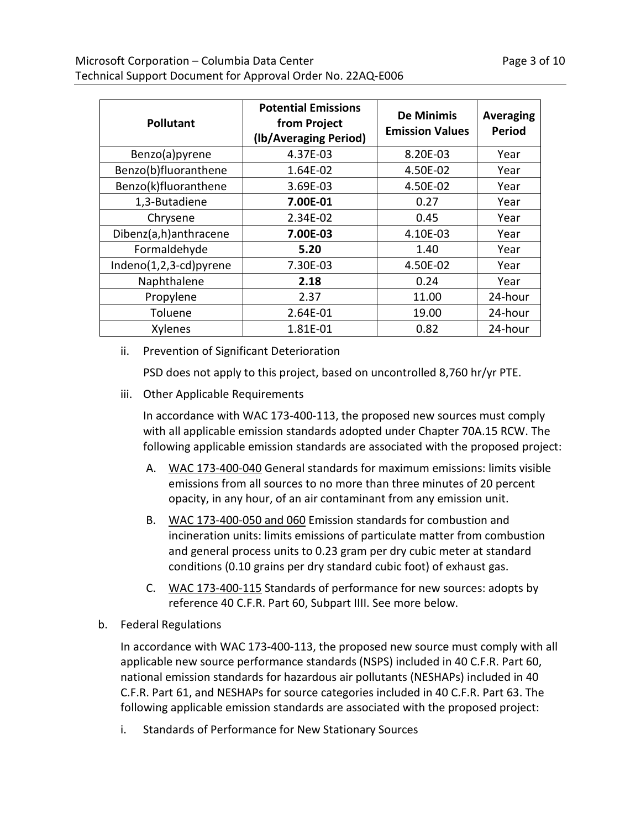| <b>Pollutant</b>       | <b>Potential Emissions</b><br>from Project<br>(Ib/Averaging Period) | <b>De Minimis</b><br><b>Emission Values</b> | <b>Averaging</b><br><b>Period</b> |
|------------------------|---------------------------------------------------------------------|---------------------------------------------|-----------------------------------|
| Benzo(a)pyrene         | 4.37E-03                                                            | 8.20E-03                                    | Year                              |
| Benzo(b)fluoranthene   | 1.64E-02                                                            | 4.50E-02                                    | Year                              |
| Benzo(k)fluoranthene   | 3.69E-03                                                            | 4.50E-02                                    | Year                              |
| 1,3-Butadiene          | 7.00E-01                                                            | 0.27                                        | Year                              |
| Chrysene               | 2.34E-02                                                            | 0.45                                        | Year                              |
| Dibenz(a,h)anthracene  | 7.00E-03                                                            | 4.10E-03                                    | Year                              |
| Formaldehyde           | 5.20                                                                | 1.40                                        | Year                              |
| Indeno(1,2,3-cd)pyrene | 7.30E-03                                                            | 4.50E-02                                    | Year                              |
| Naphthalene            | 2.18                                                                | 0.24                                        | Year                              |
| Propylene              | 2.37                                                                | 11.00                                       | 24-hour                           |
| Toluene                | 2.64E-01                                                            | 19.00                                       | 24-hour                           |
| Xylenes                | 1.81E-01                                                            | 0.82                                        | 24-hour                           |

ii. Prevention of Significant Deterioration

PSD does not apply to this project, based on uncontrolled 8,760 hr/yr PTE.

iii. Other Applicable Requirements

In accordance with WAC 173-400-113, the proposed new sources must comply with all applicable emission standards adopted under Chapter 70A.15 RCW. The following applicable emission standards are associated with the proposed project:

- A. [WAC 173-400-040](https://apps.leg.wa.gov/WAC/default.aspx?cite=173-400-040) General standards for maximum emissions: limits visible emissions from all sources to no more than three minutes of 20 percent opacity, in any hour, of an air contaminant from any emission unit.
- B. [WAC 173-400-050](https://apps.leg.wa.gov/WAC/default.aspx?cite=173-400-050) and [060](https://apps.leg.wa.gov/WAC/default.aspx?cite=173-400-060) Emission standards for combustion and incineration units: limits emissions of particulate matter from combustion and general process units to 0.23 gram per dry cubic meter at standard conditions (0.10 grains per dry standard cubic foot) of exhaust gas.
- C. [WAC 173-400-115](https://apps.leg.wa.gov/WAC/default.aspx?cite=173-400-115) Standards of performance for new sources: adopts by reference 40 C.F.R. Part 60, Subpart IIII. See more below.
- b. Federal Regulations

In accordance with WAC 173-400-113, the proposed new source must comply with all applicable new source performance standards (NSPS) included in 40 C.F.R. Part 60, national emission standards for hazardous air pollutants (NESHAPs) included in 40 C.F.R. Part 61, and NESHAPs for source categories included in 40 C.F.R. Part 63. The following applicable emission standards are associated with the proposed project:

i. Standards of Performance for New Stationary Sources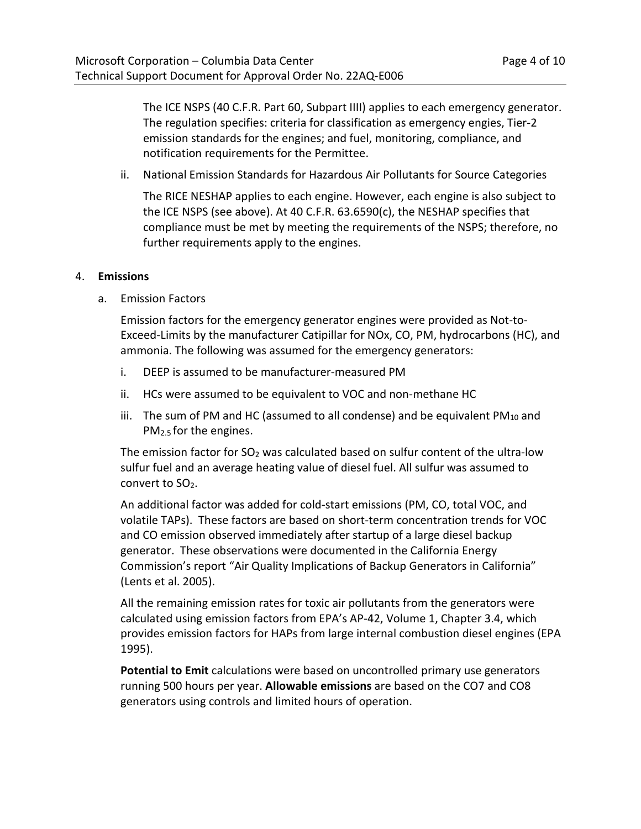The ICE NSPS (40 C.F.R. Part 60, Subpart IIII) applies to each emergency generator. The regulation specifies: criteria for classification as emergency engies, Tier-2 emission standards for the engines; and fuel, monitoring, compliance, and notification requirements for the Permittee.

ii. National Emission Standards for Hazardous Air Pollutants for Source Categories

The RICE NESHAP applies to each engine. However, each engine is also subject to the ICE NSPS (see above). At 40 C.F.R. 63.6590(c), the NESHAP specifies that compliance must be met by meeting the requirements of the NSPS; therefore, no further requirements apply to the engines.

#### 4. **Emissions**

a. Emission Factors

Emission factors for the emergency generator engines were provided as Not-to-Exceed-Limits by the manufacturer Catipillar for NOx, CO, PM, hydrocarbons (HC), and ammonia. The following was assumed for the emergency generators:

- i. DEEP is assumed to be manufacturer-measured PM
- ii. HCs were assumed to be equivalent to VOC and non-methane HC
- iii. The sum of PM and HC (assumed to all condense) and be equivalent  $PM_{10}$  and PM2.5 for the engines.

The emission factor for  $SO<sub>2</sub>$  was calculated based on sulfur content of the ultra-low sulfur fuel and an average heating value of diesel fuel. All sulfur was assumed to convert to  $SO<sub>2</sub>$ .

An additional factor was added for cold-start emissions (PM, CO, total VOC, and volatile TAPs). These factors are based on short-term concentration trends for VOC and CO emission observed immediately after startup of a large diesel backup generator. These observations were documented in the California Energy Commission's report "Air Quality Implications of Backup Generators in California" (Lents et al. 2005).

All the remaining emission rates for toxic air pollutants from the generators were calculated using emission factors from EPA's AP-42, Volume 1, Chapter 3.4, which provides emission factors for HAPs from large internal combustion diesel engines (EPA 1995).

**Potential to Emit** calculations were based on uncontrolled primary use generators running 500 hours per year. **Allowable emissions** are based on the CO7 and CO8 generators using controls and limited hours of operation.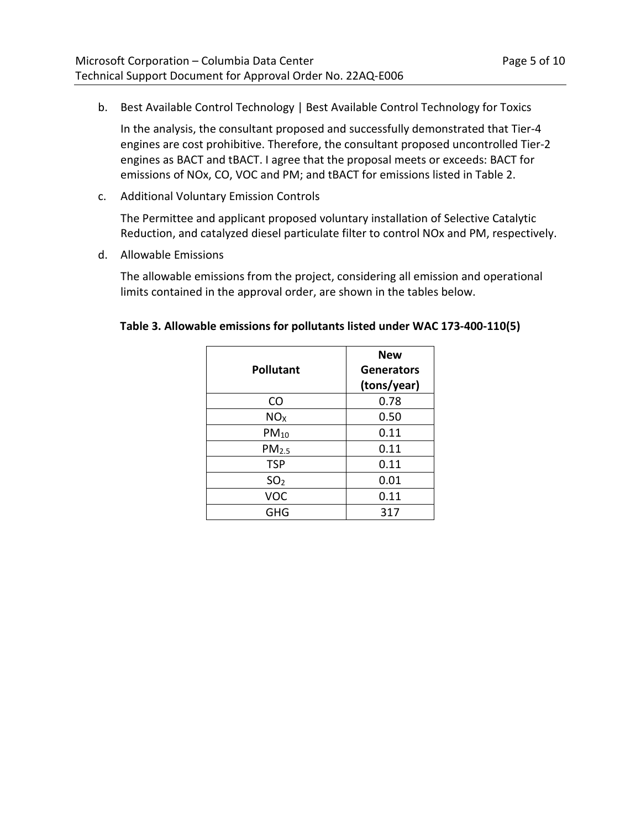b. Best Available Control Technology | Best Available Control Technology for Toxics

In the analysis, the consultant proposed and successfully demonstrated that Tier-4 engines are cost prohibitive. Therefore, the consultant proposed uncontrolled Tier-2 engines as BACT and tBACT. I agree that the proposal meets or exceeds: BACT for emissions of NOx, CO, VOC and PM; and tBACT for emissions listed in Table 2.

c. Additional Voluntary Emission Controls

The Permittee and applicant proposed voluntary installation of Selective Catalytic Reduction, and catalyzed diesel particulate filter to control NOx and PM, respectively.

d. Allowable Emissions

The allowable emissions from the project, considering all emission and operational limits contained in the approval order, are shown in the tables below.

| <b>Pollutant</b>  | <b>New</b><br><b>Generators</b> |
|-------------------|---------------------------------|
|                   | (tons/year)                     |
| <b>CO</b>         | 0.78                            |
| NO <sub>X</sub>   | 0.50                            |
| $PM_{10}$         | 0.11                            |
| PM <sub>2.5</sub> | 0.11                            |
| <b>TSP</b>        | 0.11                            |
| SO <sub>2</sub>   | 0.01                            |
| <b>VOC</b>        | 0.11                            |
| GHG               | 317                             |

| Table 3. Allowable emissions for pollutants listed under WAC 173-400-110(5) |  |  |
|-----------------------------------------------------------------------------|--|--|
|-----------------------------------------------------------------------------|--|--|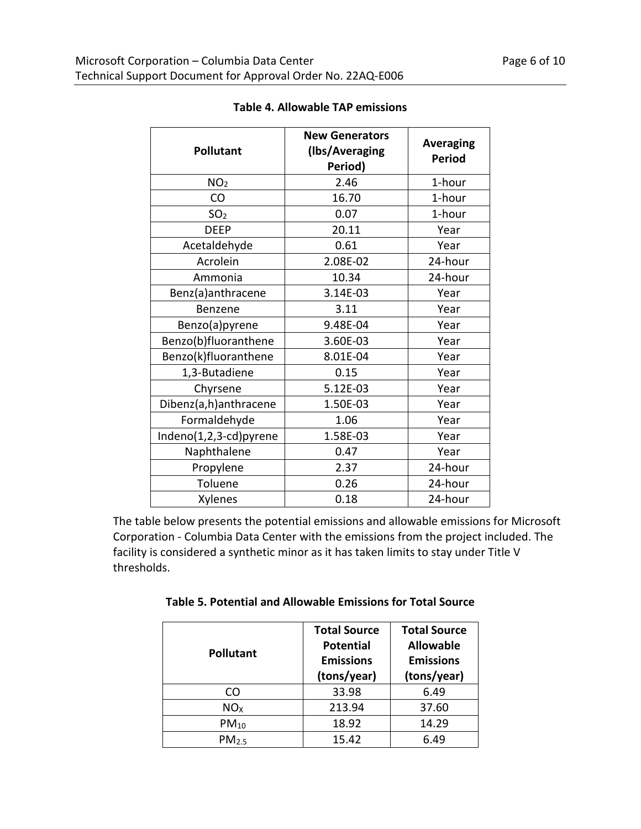| <b>Pollutant</b>       | <b>New Generators</b><br>(Ibs/Averaging<br>Period) | <b>Averaging</b><br><b>Period</b> |
|------------------------|----------------------------------------------------|-----------------------------------|
| NO <sub>2</sub>        | 2.46                                               | 1-hour                            |
| CO                     | 16.70                                              | 1-hour                            |
| SO <sub>2</sub>        | 0.07                                               | 1-hour                            |
| <b>DEEP</b>            | 20.11                                              | Year                              |
| Acetaldehyde           | 0.61                                               | Year                              |
| Acrolein               | 2.08E-02                                           | 24-hour                           |
| Ammonia                | 10.34                                              | 24-hour                           |
| Benz(a)anthracene      | 3.14E-03                                           | Year                              |
| <b>Benzene</b>         | 3.11                                               | Year                              |
| Benzo(a)pyrene         | 9.48E-04                                           | Year                              |
| Benzo(b)fluoranthene   | 3.60E-03                                           | Year                              |
| Benzo(k)fluoranthene   | 8.01E-04                                           | Year                              |
| 1,3-Butadiene          | 0.15                                               | Year                              |
| Chyrsene               | 5.12E-03                                           | Year                              |
| Dibenz(a,h)anthracene  | 1.50E-03                                           | Year                              |
| Formaldehyde           | 1.06                                               | Year                              |
| Indeno(1,2,3-cd)pyrene | 1.58E-03                                           | Year                              |
| Naphthalene            | 0.47                                               | Year                              |
| Propylene              | 2.37                                               | 24-hour                           |
| Toluene                | 0.26                                               | 24-hour                           |
| Xylenes                | 0.18                                               | 24-hour                           |

### **Table 4. Allowable TAP emissions**

The table below presents the potential emissions and allowable emissions for Microsoft Corporation - Columbia Data Center with the emissions from the project included. The facility is considered a synthetic minor as it has taken limits to stay under Title V thresholds.

| <b>Pollutant</b>  | <b>Total Source</b><br><b>Potential</b><br><b>Emissions</b><br>(tons/year) | <b>Total Source</b><br><b>Allowable</b><br><b>Emissions</b><br>(tons/year) |
|-------------------|----------------------------------------------------------------------------|----------------------------------------------------------------------------|
| CO                | 33.98                                                                      | 6.49                                                                       |
| NO <sub>x</sub>   | 213.94                                                                     | 37.60                                                                      |
| $PM_{10}$         | 18.92                                                                      | 14.29                                                                      |
| PM <sub>2.5</sub> | 15.42                                                                      | 6.49                                                                       |

**Table 5. Potential and Allowable Emissions for Total Source**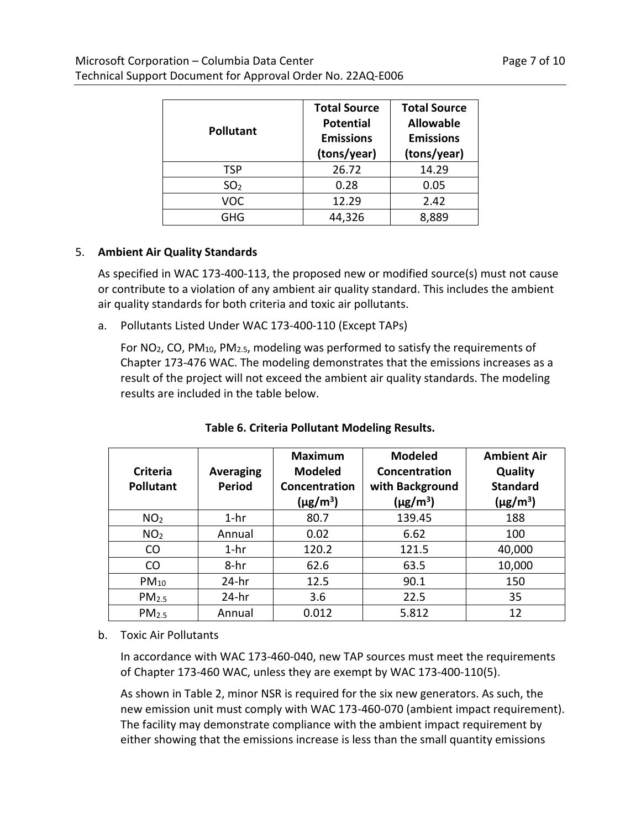| <b>Pollutant</b> | <b>Total Source</b><br><b>Potential</b><br><b>Emissions</b><br>(tons/year) | <b>Total Source</b><br><b>Allowable</b><br><b>Emissions</b><br>(tons/year) |
|------------------|----------------------------------------------------------------------------|----------------------------------------------------------------------------|
| <b>TSP</b>       | 26.72                                                                      | 14.29                                                                      |
| SO <sub>2</sub>  | 0.28                                                                       | 0.05                                                                       |
| VOC              | 12.29                                                                      | 2.42                                                                       |
| GHG              | 44.326                                                                     | 8.889                                                                      |

#### 5. **Ambient Air Quality Standards**

As specified in WAC 173-400-113, the proposed new or modified source(s) must not cause or contribute to a violation of any ambient air quality standard. This includes the ambient air quality standards for both criteria and toxic air pollutants.

a. Pollutants Listed Under WAC 173-400-110 (Except TAPs)

For NO<sub>2</sub>, CO, PM<sub>10</sub>, PM<sub>2.5</sub>, modeling was performed to satisfy the requirements of Chapter 173-476 WAC. The modeling demonstrates that the emissions increases as a result of the project will not exceed the ambient air quality standards. The modeling results are included in the table below.

| Criteria<br><b>Pollutant</b> | Averaging<br><b>Period</b> | <b>Maximum</b><br><b>Modeled</b><br>Concentration<br>$(\mu$ g/m <sup>3</sup> ) | <b>Modeled</b><br>Concentration<br>with Background<br>$(\mu$ g/m <sup>3</sup> ) | <b>Ambient Air</b><br>Quality<br><b>Standard</b><br>$(\mu g/m^3)$ |
|------------------------------|----------------------------|--------------------------------------------------------------------------------|---------------------------------------------------------------------------------|-------------------------------------------------------------------|
| NO <sub>2</sub>              | $1-hr$                     | 80.7                                                                           | 139.45                                                                          | 188                                                               |
| NO <sub>2</sub>              | Annual                     | 0.02                                                                           | 6.62                                                                            | 100                                                               |
| CO                           | $1-hr$                     | 120.2                                                                          | 121.5                                                                           | 40,000                                                            |
| CO                           | $8-hr$                     | 62.6                                                                           | 63.5                                                                            | 10,000                                                            |
| $PM_{10}$                    | $24-hr$                    | 12.5                                                                           | 90.1                                                                            | 150                                                               |
| PM <sub>2.5</sub>            | $24-hr$                    | 3.6                                                                            | 22.5                                                                            | 35                                                                |
| PM <sub>2.5</sub>            | Annual                     | 0.012                                                                          | 5.812                                                                           | 12                                                                |

**Table 6. Criteria Pollutant Modeling Results.**

b. Toxic Air Pollutants

In accordance with WAC 173-460-040, new TAP sources must meet the requirements of Chapter 173-460 WAC, unless they are exempt by WAC 173-400-110(5).

As shown in Table 2, minor NSR is required for the six new generators. As such, the new emission unit must comply with WAC 173-460-070 (ambient impact requirement). The facility may demonstrate compliance with the ambient impact requirement by either showing that the emissions increase is less than the small quantity emissions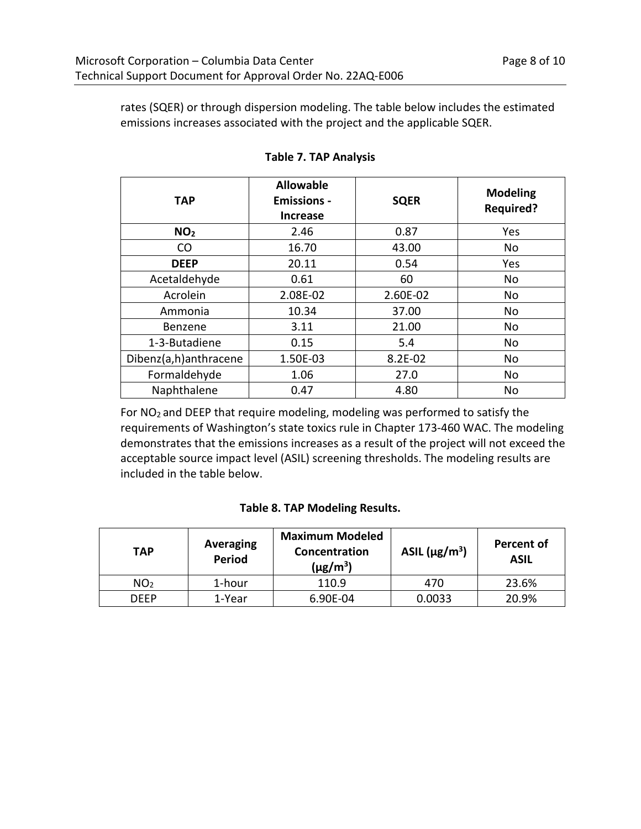rates (SQER) or through dispersion modeling. The table below includes the estimated emissions increases associated with the project and the applicable SQER.

| <b>TAP</b>            | <b>Allowable</b><br><b>Emissions -</b><br><b>Increase</b> | <b>SQER</b> | <b>Modeling</b><br><b>Required?</b> |
|-----------------------|-----------------------------------------------------------|-------------|-------------------------------------|
| NO <sub>2</sub>       | 2.46                                                      | 0.87        | Yes                                 |
| CO                    | 16.70                                                     | 43.00       | No                                  |
| <b>DEEP</b>           | 20.11                                                     | 0.54        | Yes                                 |
| Acetaldehyde          | 0.61                                                      | 60          | No                                  |
| Acrolein              | 2.08E-02                                                  | 2.60E-02    | No                                  |
| Ammonia               | 10.34                                                     | 37.00       | No                                  |
| Benzene               | 3.11                                                      | 21.00       | No                                  |
| 1-3-Butadiene         | 0.15                                                      | 5.4         | No                                  |
| Dibenz(a,h)anthracene | 1.50E-03                                                  | 8.2E-02     | No                                  |
| Formaldehyde          | 1.06                                                      | 27.0        | No                                  |
| Naphthalene           | 0.47                                                      | 4.80        | No                                  |

**Table 7. TAP Analysis**

For NO2 and DEEP that require modeling, modeling was performed to satisfy the requirements of Washington's state toxics rule in Chapter 173-460 WAC. The modeling demonstrates that the emissions increases as a result of the project will not exceed the acceptable source impact level (ASIL) screening thresholds. The modeling results are included in the table below.

#### **Table 8. TAP Modeling Results.**

| TAP             | <b>Averaging</b><br><b>Period</b> | <b>Maximum Modeled</b><br>Concentration<br>(µg/m $^3)$ | ASIL $(\mu g/m^3)$ | <b>Percent of</b><br><b>ASIL</b> |
|-----------------|-----------------------------------|--------------------------------------------------------|--------------------|----------------------------------|
| NO <sub>2</sub> | 1-hour                            | 110.9                                                  | 470                | 23.6%                            |
| DFFP            | 1-Year                            | 6.90E-04                                               | 0.0033             | 20.9%                            |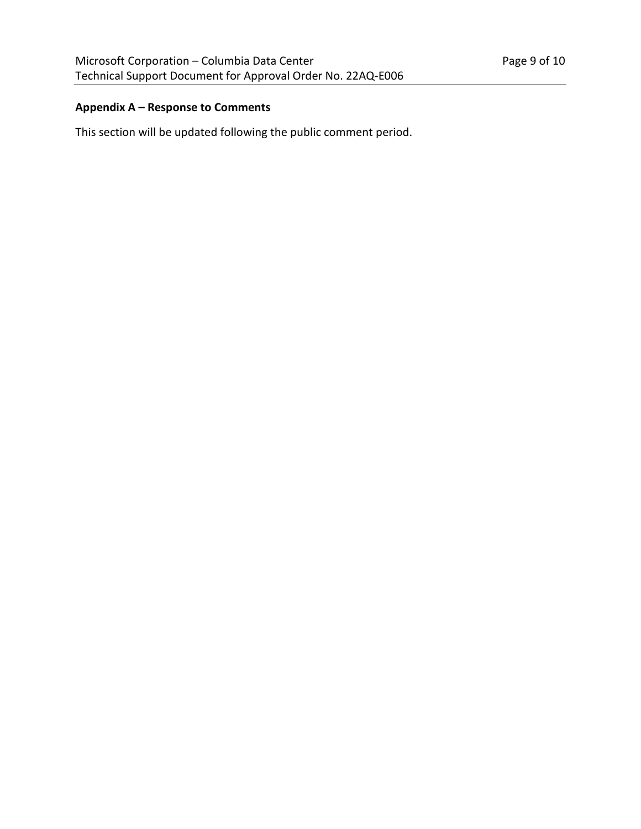# **Appendix A – Response to Comments**

This section will be updated following the public comment period.